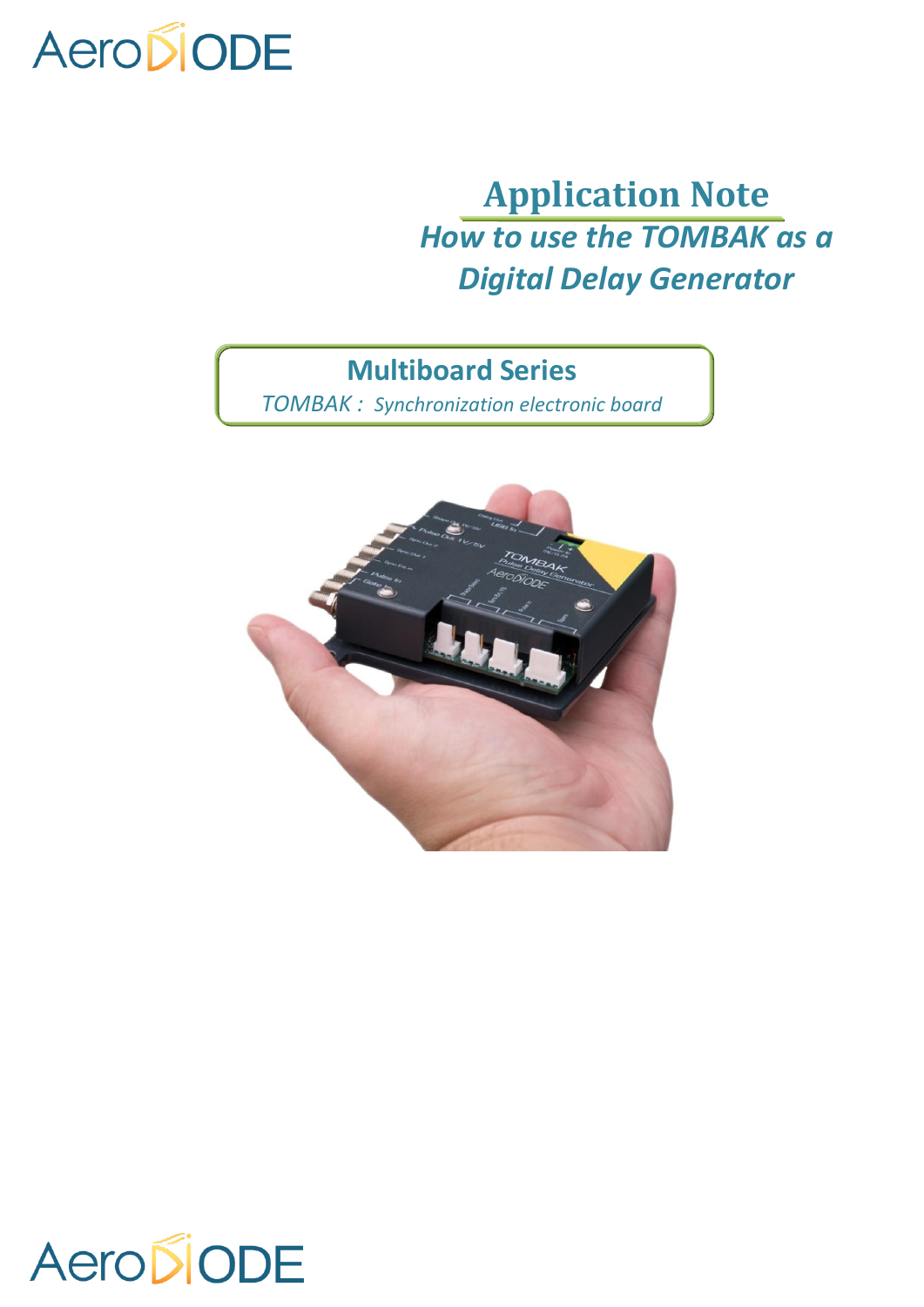# AeroDiODE

# **Application Note** *How to use the TOMBAK as a Digital Delay Generator*

## **Multiboard Series**

*TOMBAK : Synchronization electronic board*



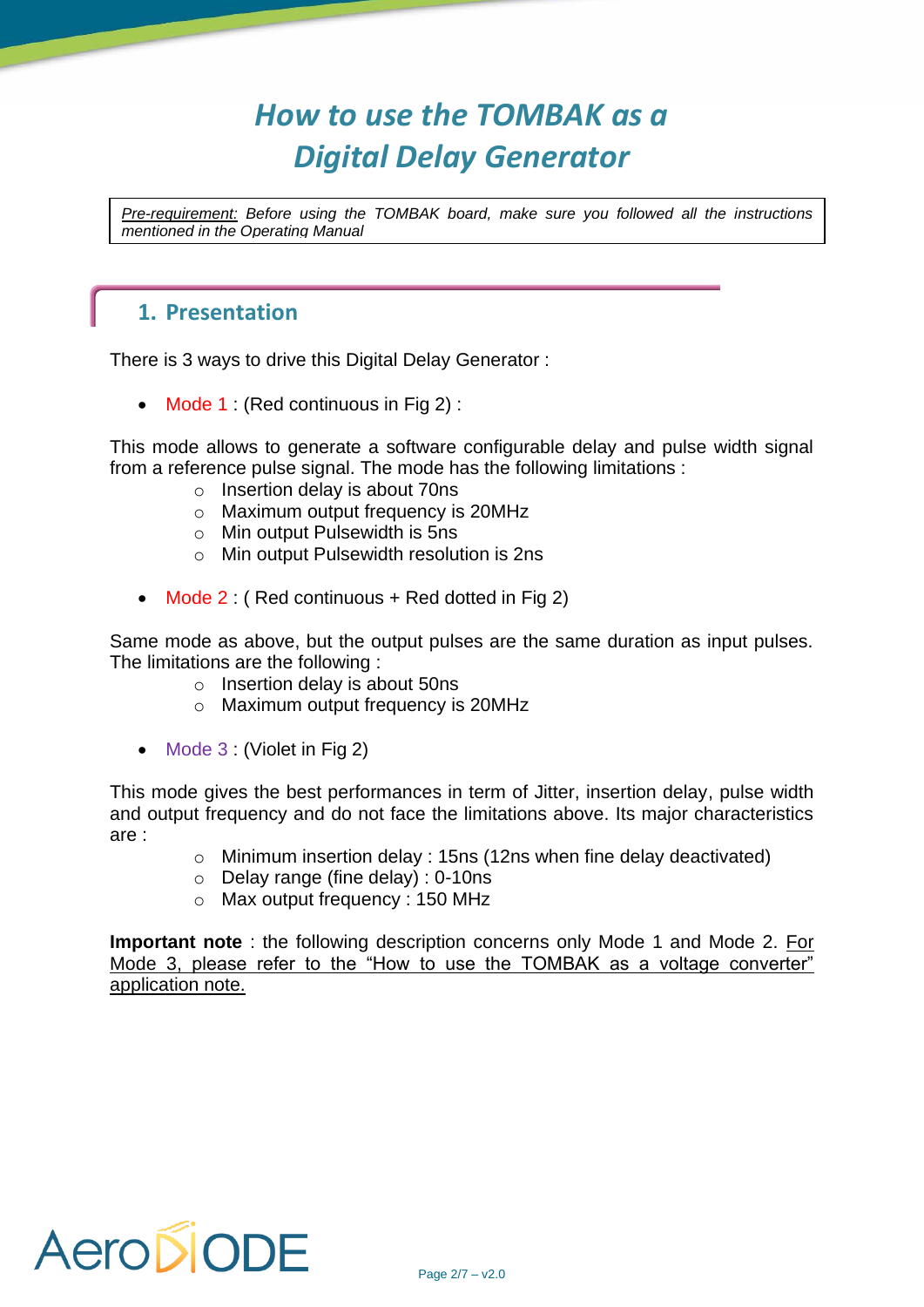# *How to use the TOMBAK as a Digital Delay Generator*

*Pre-requirement: Before using the TOMBAK board, make sure you followed all the instructions mentioned in the Operating Manual*

#### **1. Presentation**

There is 3 ways to drive this Digital Delay Generator :

• Mode 1 : (Red continuous in Fig 2) :

This mode allows to generate a software configurable delay and pulse width signal from a reference pulse signal. The mode has the following limitations :

- o Insertion delay is about 70ns
- o Maximum output frequency is 20MHz
- o Min output Pulsewidth is 5ns
- o Min output Pulsewidth resolution is 2ns
- Mode 2 : (Red continuous + Red dotted in Fig 2)

Same mode as above, but the output pulses are the same duration as input pulses. The limitations are the following :

- o Insertion delay is about 50ns
- o Maximum output frequency is 20MHz
- Mode 3 : (Violet in Fig 2)

This mode gives the best performances in term of Jitter, insertion delay, pulse width and output frequency and do not face the limitations above. Its major characteristics are :

- o Minimum insertion delay : 15ns (12ns when fine delay deactivated)
- o Delay range (fine delay) : 0-10ns
- o Max output frequency : 150 MHz

**Important note** : the following description concerns only Mode 1 and Mode 2. For Mode 3, please refer to the "How to use the TOMBAK as a voltage converter" application note.

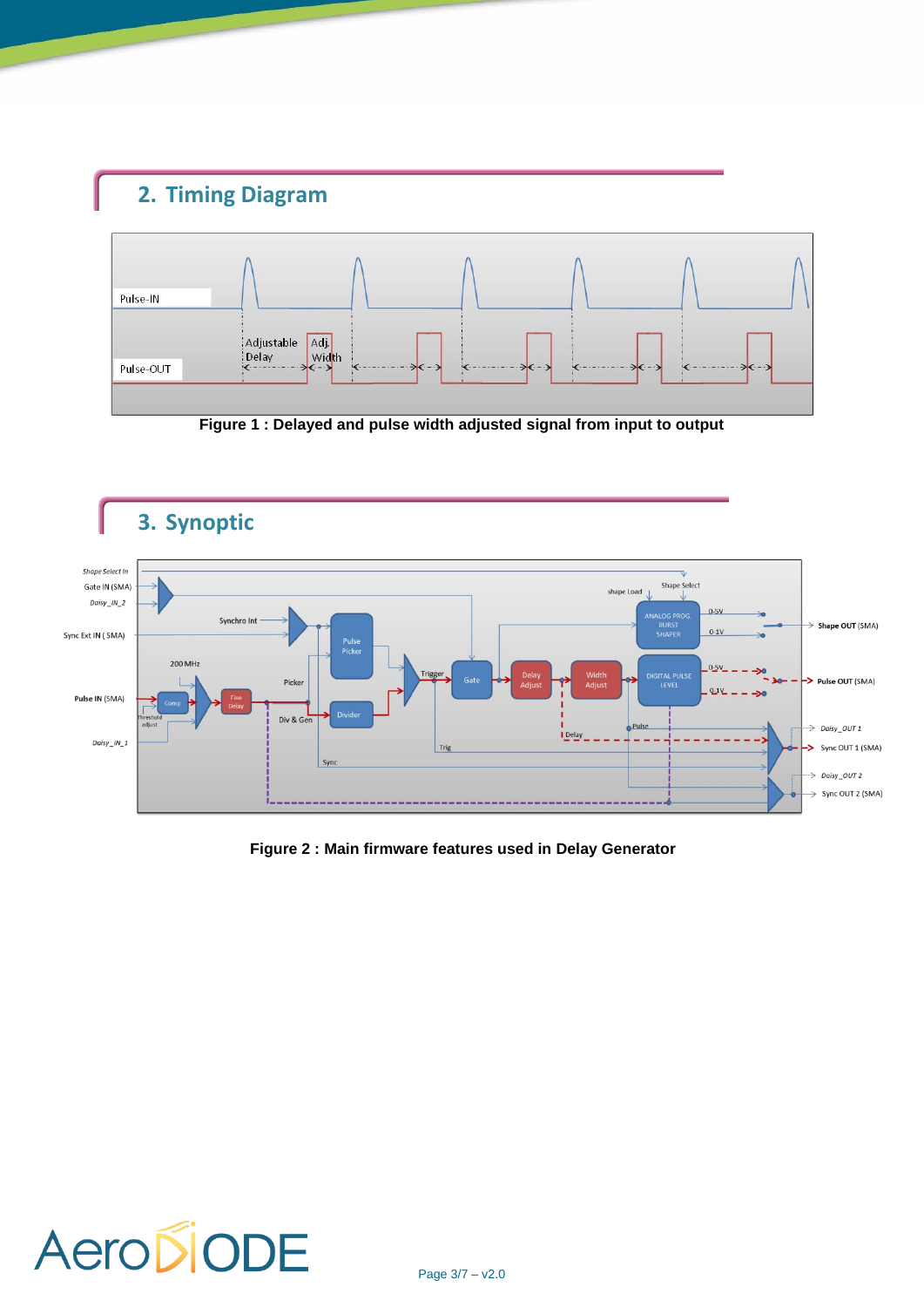## **2. Timing Diagram**



**Figure 1 : Delayed and pulse width adjusted signal from input to output**



**Figure 2 : Main firmware features used in Delay Generator**

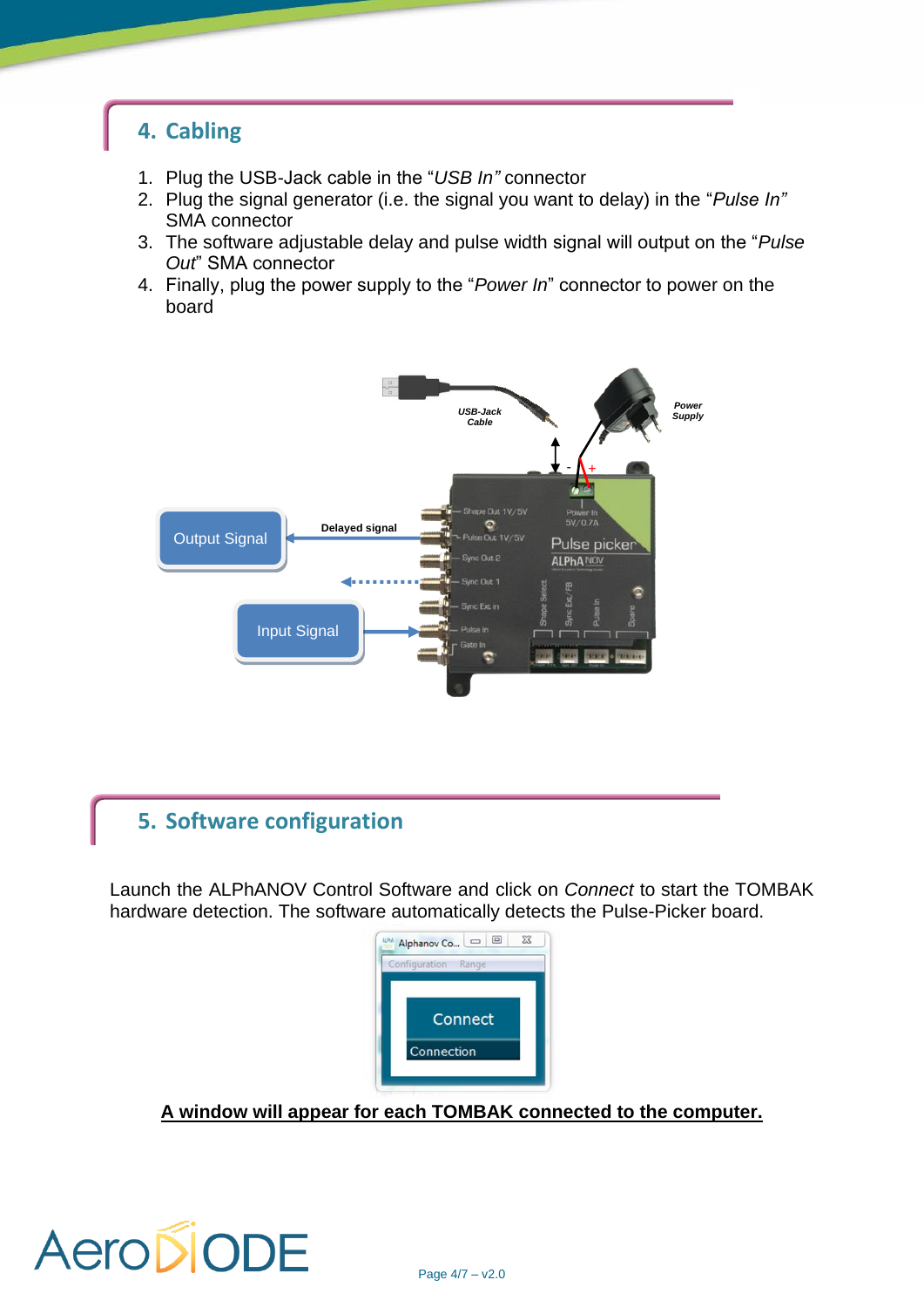#### **4. Cabling**

- 1. Plug the USB-Jack cable in the "*USB In"* connector
- 2. Plug the signal generator (i.e. the signal you want to delay) in the "*Pulse In"* SMA connector
- 3. The software adjustable delay and pulse width signal will output on the "*Pulse Out*" SMA connector
- 4. Finally, plug the power supply to the "*Power In*" connector to power on the board



### **5. Software configuration**

Launch the ALPhANOV Control Software and click on *Connect* to start the TOMBAK hardware detection. The software automatically detects the Pulse-Picker board.



**A window will appear for each TOMBAK connected to the computer.**

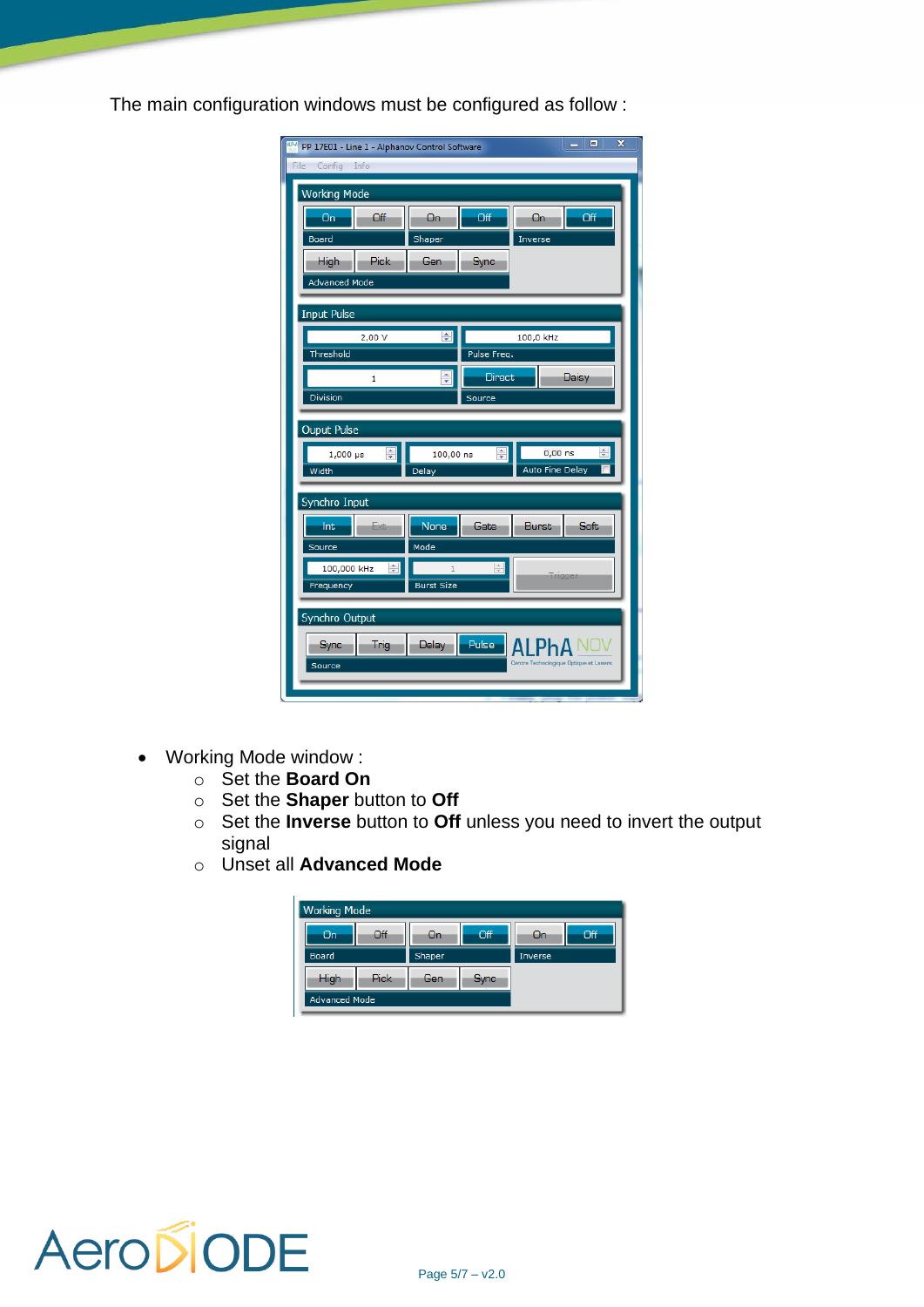The main configuration windows must be configured as follow :

| <b>IDM</b> PP 17E01 - Line 1 - Alphanov Control Software |                   |               |                                        | $\overline{\mathbf{x}}$<br>$\Box$<br>ō |
|----------------------------------------------------------|-------------------|---------------|----------------------------------------|----------------------------------------|
| File Config Info                                         |                   |               |                                        |                                        |
| <b>Working Mode</b>                                      |                   |               |                                        |                                        |
| Off<br><b>On</b>                                         | On-               | Off           | On.                                    | Off                                    |
| <b>Board</b>                                             | Shaper            |               | Inverse                                |                                        |
| <b>High</b><br>Pick:                                     | Gen               | <b>Sync</b>   |                                        |                                        |
| <b>Advanced Mode</b>                                     |                   |               |                                        |                                        |
| <b>Input Pulse</b>                                       |                   |               |                                        |                                        |
| 2,00 V                                                   | 취                 |               | 100,0 kHz                              |                                        |
| Threshold                                                |                   | Pulse Freq.   |                                        |                                        |
| 1                                                        | ÷                 | <b>Direct</b> |                                        | Daisy                                  |
| Division                                                 |                   | Source        |                                        |                                        |
| <b>Ouput Pulse</b>                                       |                   |               |                                        |                                        |
|                                                          |                   |               |                                        |                                        |
| ÷<br>$1,000$ $\mu s$                                     | 100,00 ns         | ÷             | $0,00$ ns                              | ÷                                      |
| Width                                                    | Delay             |               | Auto Fine Delay                        |                                        |
| Synchro Input                                            |                   |               |                                        |                                        |
| Int<br>Exte                                              | <b>None</b>       | Gate          | <b>Burst</b>                           | <b>Soft</b>                            |
| Source                                                   | Mode              |               |                                        |                                        |
| 100,000 kHz<br>÷                                         | $\mathbf{1}$      | ÷             |                                        | Trigger                                |
| Frequency                                                | <b>Burst Size</b> |               |                                        |                                        |
| Synchro Output                                           |                   |               |                                        |                                        |
| <b>Trig</b><br>Sync                                      | <b>Delay</b>      | Pulse         |                                        |                                        |
| Source                                                   |                   |               | Centre Technologique Optique et Lasers |                                        |

- Working Mode window :
	- o Set the **Board On**
	- o Set the **Shaper** button to **Off**
	- o Set the **Inverse** button to **Off** unless you need to invert the output signal
	- o Unset all **Advanced Mode**

| <b>Working Mode</b>  |      |        |            |         |     |
|----------------------|------|--------|------------|---------|-----|
| On:                  | Off  | -On    | <b>Off</b> | Un      | Off |
| <b>Board</b>         |      | Shaper |            | Inverse |     |
| High                 | Pick | Gen    | Sync       |         |     |
| <b>Advanced Mode</b> |      |        |            |         |     |

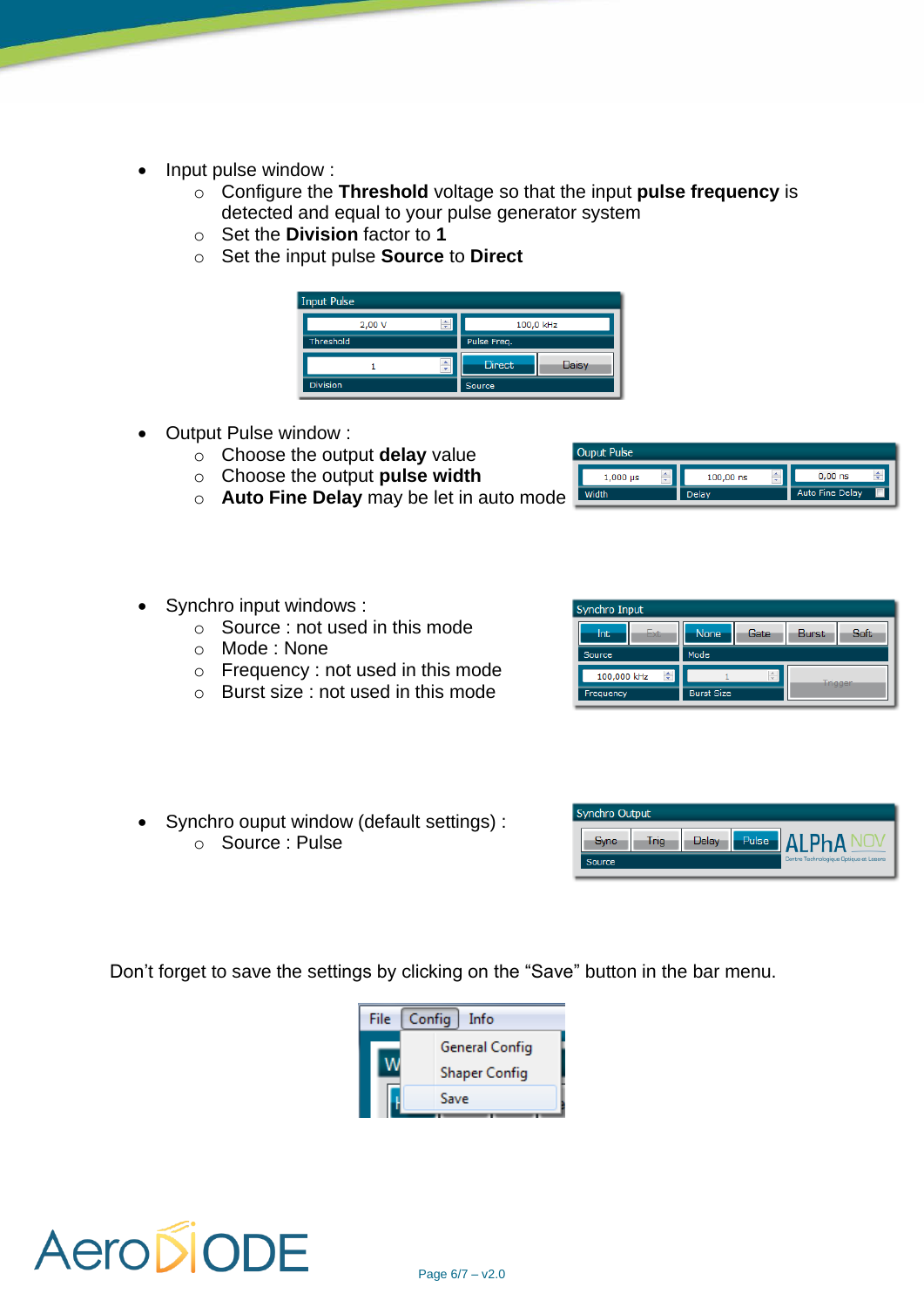- Input pulse window :
	- o Configure the **Threshold** voltage so that the input **pulse frequency** is detected and equal to your pulse generator system
	- o Set the **Division** factor to **1**
	- o Set the input pulse **Source** to **Direct**



- Output Pulse window :
	- o Choose the output **delay** value
	- o Choose the output **pulse width**
	- o **Auto Fine Delay** may be let in auto mode
- Synchro input windows :
	- $\circ$  Source : not used in this mode
	- o Mode : None
	- o Frequency : not used in this mode
	- o Burst size : not used in this mode







• Synchro ouput window (default settings) : o Source : Pulse

Don't forget to save the settings by clicking on the "Save" button in the bar menu.